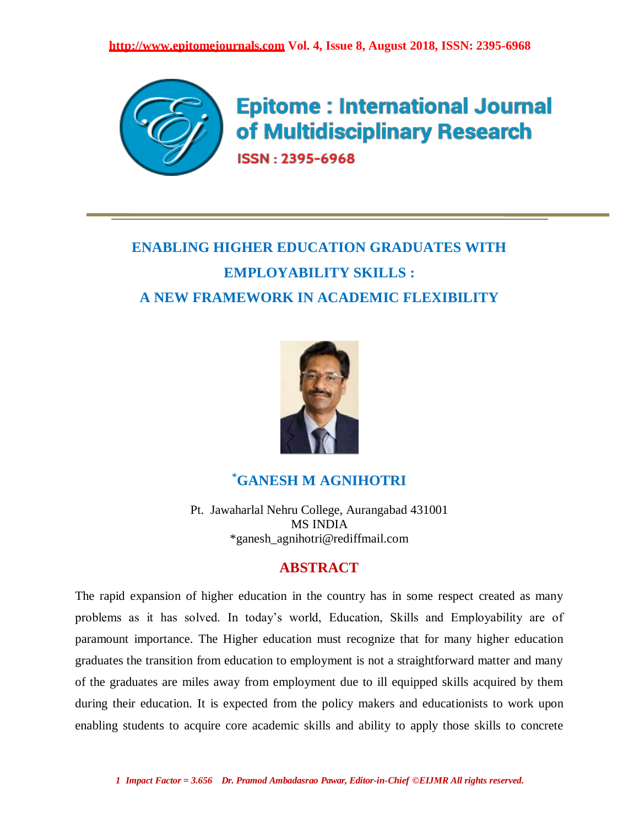

**Epitome: International Journal** of Multidisciplinary Research ISSN: 2395-6968

# **ENABLING HIGHER EDUCATION GRADUATES WITH EMPLOYABILITY SKILLS : A NEW FRAMEWORK IN ACADEMIC FLEXIBILITY**



## **\*GANESH M AGNIHOTRI**

Pt. Jawaharlal Nehru College, Aurangabad 431001 MS INDIA \*ganesh\_agnihotri@rediffmail.com

## **ABSTRACT**

The rapid expansion of higher education in the country has in some respect created as many problems as it has solved. In today's world, Education, Skills and Employability are of paramount importance. The Higher education must recognize that for many higher education graduates the transition from education to employment is not a straightforward matter and many of the graduates are miles away from employment due to ill equipped skills acquired by them during their education. It is expected from the policy makers and educationists to work upon enabling students to acquire core academic skills and ability to apply those skills to concrete